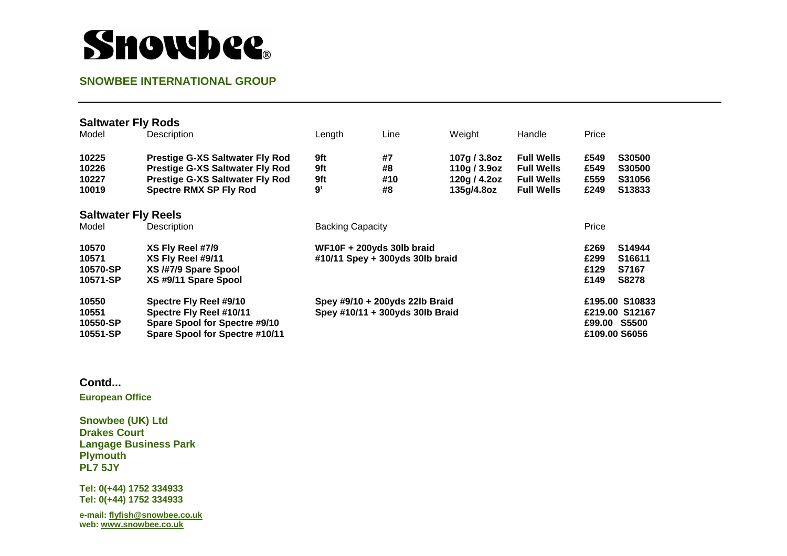# **Showbee**.

### **SNOWBEE INTERNATIONAL GROUP**

| <b>Saltwater Fly Rods</b>              |                                                                                                                                                             |                                                                   |                       |                                                               |                                                                                  |                                                                   |                                           |
|----------------------------------------|-------------------------------------------------------------------------------------------------------------------------------------------------------------|-------------------------------------------------------------------|-----------------------|---------------------------------------------------------------|----------------------------------------------------------------------------------|-------------------------------------------------------------------|-------------------------------------------|
| Model                                  | Description                                                                                                                                                 | Length                                                            | Line                  | Weight                                                        | Handle                                                                           | Price                                                             |                                           |
| 10225<br>10226<br>10227<br>10019       | <b>Prestige G-XS Saltwater Fly Rod</b><br><b>Prestige G-XS Saltwater Fly Rod</b><br><b>Prestige G-XS Saltwater Fly Rod</b><br><b>Spectre RMX SP Fly Rod</b> | 9ft<br>9ft<br>9ft<br>9'                                           | #7<br>#8<br>#10<br>#8 | 107g / 3.8oz<br>110g / $3.9$ oz<br>120g / 4.2oz<br>135g/4.8oz | <b>Full Wells</b><br><b>Full Wells</b><br><b>Full Wells</b><br><b>Full Wells</b> | £549<br>£549<br>£559<br>£249                                      | S30500<br>S30500<br>S31056<br>S13833      |
| <b>Saltwater Fly Reels</b>             |                                                                                                                                                             |                                                                   |                       |                                                               |                                                                                  |                                                                   |                                           |
| Model                                  | Description                                                                                                                                                 | <b>Backing Capacity</b>                                           |                       |                                                               |                                                                                  | Price                                                             |                                           |
| 10570<br>10571<br>10570-SP<br>10571-SP | XS Fly Reel #7/9<br>XS Fly Reel #9/11<br>XS /#7/9 Spare Spool<br>XS #9/11 Spare Spool                                                                       | WF10F + 200yds 30lb braid<br>#10/11 Spey + 300yds 30lb braid      |                       |                                                               |                                                                                  | £269<br>£299<br>£129<br>£149                                      | S14944<br>S16611<br>S7167<br><b>S8278</b> |
| 10550<br>10551<br>10550-SP<br>10551-SP | Spectre Fly Reel #9/10<br>Spectre Fly Reel #10/11<br>Spare Spool for Spectre #9/10<br>Spare Spool for Spectre #10/11                                        | Spey #9/10 + 200yds 22lb Braid<br>Spey #10/11 + 300yds 30lb Braid |                       |                                                               |                                                                                  | £195.00 S10833<br>£219.00 S12167<br>£99.00 S5500<br>£109.00 S6056 |                                           |

### **Contd...**

**European Office** 

**Snowbee (UK) Ltd Drakes Court Langage Business Park Plymouth PL7 5JY** 

**Tel: 0(+44) 1752 334933 Tel: 0(+44) 1752 334933** 

**e-mail[: flyfish@snowbee.co.uk](mailto:flyfish@snowbee.co.uk)  web: [www.snowbee.co.uk](http://www.snowbee.co.uk/)**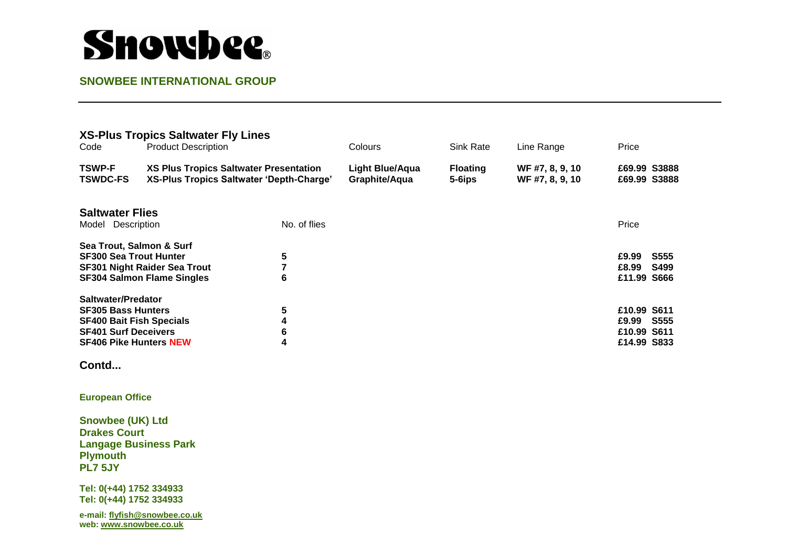# Snowbee

## **SNOWBEE INTERNATIONAL GROUP**

| Code                                                                         | <b>XS-Plus Tropics Saltwater Fly Lines</b><br><b>Product Description</b>           |                          | Colours                                 | Sink Rate                 | Line Range                         | Price                                                |
|------------------------------------------------------------------------------|------------------------------------------------------------------------------------|--------------------------|-----------------------------------------|---------------------------|------------------------------------|------------------------------------------------------|
| <b>TSWP-F</b><br><b>TSWDC-FS</b>                                             | XS Plus Tropics Saltwater Presentation<br>XS-Plus Tropics Saltwater 'Depth-Charge' |                          | <b>Light Blue/Aqua</b><br>Graphite/Aqua | <b>Floating</b><br>5-6ips | WF #7, 8, 9, 10<br>WF #7, 8, 9, 10 | £69.99 S3888<br>£69.99 S3888                         |
| <b>Saltwater Flies</b>                                                       |                                                                                    | No. of flies             |                                         |                           |                                    | Price                                                |
| Model Description                                                            |                                                                                    |                          |                                         |                           |                                    |                                                      |
| Sea Trout, Salmon & Surf<br><b>SF300 Sea Trout Hunter</b>                    | <b>SF301 Night Raider Sea Trout</b><br><b>SF304 Salmon Flame Singles</b>           | 5<br>$\overline{7}$<br>6 |                                         |                           |                                    | £9.99<br><b>S555</b><br>£8.99<br>S499<br>£11.99 S666 |
| <b>Saltwater/Predator</b>                                                    |                                                                                    |                          |                                         |                           |                                    |                                                      |
| <b>SF305 Bass Hunters</b>                                                    |                                                                                    | 5                        |                                         |                           |                                    | £10.99 S611                                          |
| <b>SF400 Bait Fish Specials</b>                                              |                                                                                    | 4                        |                                         |                           |                                    | £9.99 S555                                           |
| $\bf 6$<br><b>SF401 Surf Deceivers</b><br>4<br><b>SF406 Pike Hunters NEW</b> |                                                                                    |                          |                                         |                           |                                    | £10.99 S611<br>£14.99 S833                           |
| Contd                                                                        |                                                                                    |                          |                                         |                           |                                    |                                                      |
| <b>European Office</b>                                                       |                                                                                    |                          |                                         |                           |                                    |                                                      |
| <b>Snowbee (UK) Ltd</b>                                                      |                                                                                    |                          |                                         |                           |                                    |                                                      |
| <b>Drakes Court</b>                                                          |                                                                                    |                          |                                         |                           |                                    |                                                      |
| <b>Langage Business Park</b>                                                 |                                                                                    |                          |                                         |                           |                                    |                                                      |
| <b>Plymouth</b><br><b>PL7 5JY</b>                                            |                                                                                    |                          |                                         |                           |                                    |                                                      |
| Tel: 0(+44) 1752 334933<br>Tel: 0(+44) 1752 334933                           |                                                                                    |                          |                                         |                           |                                    |                                                      |
| e-mail: flyfish@snowbee.co.uk<br>web: www.snowbee.co.uk                      |                                                                                    |                          |                                         |                           |                                    |                                                      |